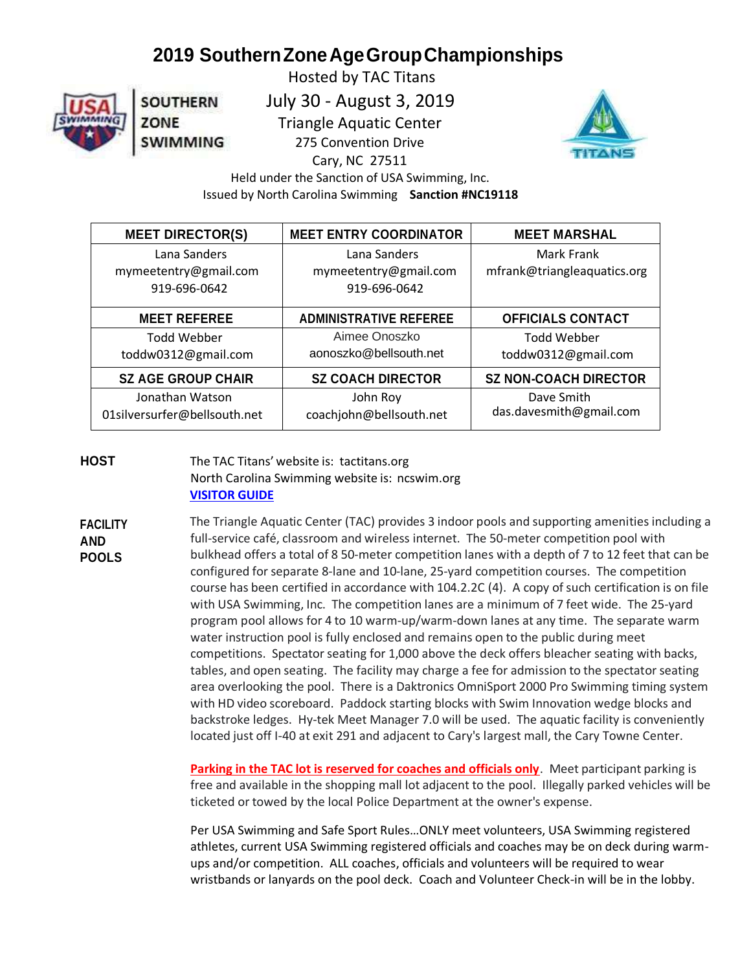## **2019 SouthernZoneAgeGroupChampionships**

**SOUTHERN** 

**SWIMMING** 

ZONE

 Hosted by TAC Titans July 30 - August 3, 2019 Triangle Aquatic Center 275 Convention Drive



 Held under the Sanction of USA Swimming, Inc. Issued by North Carolina Swimming **Sanction #NC19118**

Cary, NC 27511

| <b>MEET DIRECTOR(S)</b>      | <b>MEET ENTRY COORDINATOR</b> | <b>MEET MARSHAL</b>          |
|------------------------------|-------------------------------|------------------------------|
| Lana Sanders                 | Lana Sanders                  | Mark Frank                   |
| mymeetentry@gmail.com        | mymeetentry@gmail.com         | mfrank@triangleaquatics.org  |
| 919-696-0642                 | 919-696-0642                  |                              |
| <b>MEET REFEREE</b>          | <b>ADMINISTRATIVE REFEREE</b> | <b>OFFICIALS CONTACT</b>     |
| <b>Todd Webber</b>           | Aimee Onoszko                 | <b>Todd Webber</b>           |
| toddw0312@gmail.com          | aonoszko@bellsouth.net        | toddw0312@gmail.com          |
| <b>SZ AGE GROUP CHAIR</b>    | <b>SZ COACH DIRECTOR</b>      | <b>SZ NON-COACH DIRECTOR</b> |
| Jonathan Watson              | John Roy                      | Dave Smith                   |
| 01silversurfer@bellsouth.net | coachjohn@bellsouth.net       | das.davesmith@gmail.com      |

**HOST** The TAC Titans' website is: tactitans.org North Carolina Swimming website is: ncswim.org **[VISITOR GUIDE](https://www.triangleaquatics.org/wp-content/uploads/2019-SZ-Visitor-Guide.pdf)**

**FACILITY AND POOLS** The Triangle Aquatic Center (TAC) provides 3 indoor pools and supporting amenities including a full-service café, classroom and wireless internet. The 50-meter competition pool with bulkhead offers a total of 8 50-meter competition lanes with a depth of 7 to 12 feet that can be configured forseparate 8-lane and 10-lane, 25-yard competition courses. The competition course has been certified in accordance with 104.2.2C (4). A copy of such certification is on file with USA Swimming, Inc. The competition lanes are a minimum of 7 feet wide. The 25-yard program pool allows for 4 to 10 warm-up/warm-down lanes at any time. The separate warm water instruction pool is fully enclosed and remains open to the public during meet competitions. Spectator seating for 1,000 above the deck offers bleacher seating with backs, tables, and open seating. The facility may charge a fee for admission to the spectator seating area overlooking the pool. There is a Daktronics OmniSport 2000 Pro Swimming timing system with HD video scoreboard. Paddock starting blocks with Swim Innovation wedge blocks and backstroke ledges. Hy-tek Meet Manager 7.0 will be used. The aquatic facility is conveniently located just off I-40 at exit 291 and adjacent to Cary's largest mall, the Cary Towne Center.

> **Parking in the TAC lot is reserved for coaches and officials only**. Meet participant parking is free and available in the shopping mall lot adjacent to the pool. Illegally parked vehicles will be ticketed or towed by the local Police Department at the owner's expense.

> Per USA Swimming and Safe Sport Rules…ONLY meet volunteers, USA Swimming registered athletes, current USA Swimming registered officials and coaches may be on deck during warmups and/or competition. ALL coaches, officials and volunteers will be required to wear wristbands or lanyards on the pool deck. Coach and Volunteer Check-in will be in the lobby.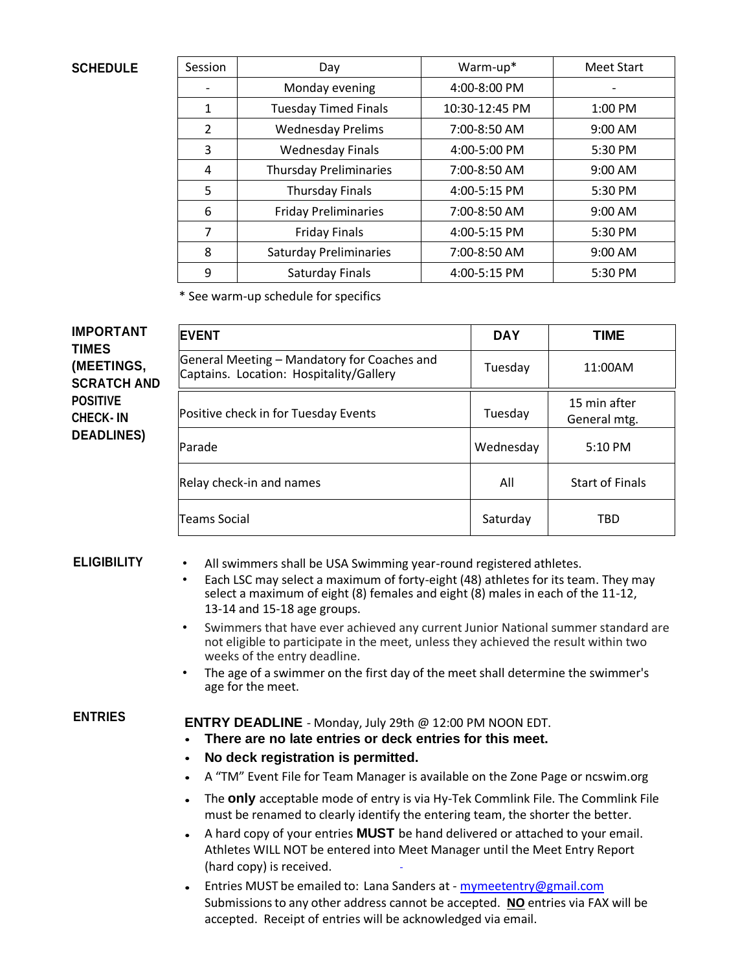### **SCHEDULE**

| Session       | Day                           | Warm-up*       | <b>Meet Start</b> |
|---------------|-------------------------------|----------------|-------------------|
|               | Monday evening                | 4:00-8:00 PM   |                   |
| 1             | <b>Tuesday Timed Finals</b>   | 10:30-12:45 PM | $1:00$ PM         |
| $\mathcal{P}$ | <b>Wednesday Prelims</b>      | 7:00-8:50 AM   | 9:00 AM           |
| 3             | <b>Wednesday Finals</b>       | 4:00-5:00 PM   | 5:30 PM           |
| 4             | <b>Thursday Preliminaries</b> | 7:00-8:50 AM   | $9:00$ AM         |
| 5             | <b>Thursday Finals</b>        | 4:00-5:15 PM   | 5:30 PM           |
| 6             | <b>Friday Preliminaries</b>   | 7:00-8:50 AM   | 9:00 AM           |
| 7             | <b>Friday Finals</b>          | 4:00-5:15 PM   | 5:30 PM           |
| 8             | <b>Saturday Preliminaries</b> | 7:00-8:50 AM   | 9:00 AM           |
| 9             | Saturday Finals               | 4:00-5:15 PM   | 5:30 PM           |

\* See warm-up schedule for specifics

| <b>IMPORTANT</b><br><b>TIMES</b>   | <b>EVENT</b>                                                                           | <b>DAY</b> | TIME                         |
|------------------------------------|----------------------------------------------------------------------------------------|------------|------------------------------|
| (MEETINGS,<br><b>SCRATCH AND</b>   | General Meeting - Mandatory for Coaches and<br>Captains. Location: Hospitality/Gallery | Tuesday    | 11:00AM                      |
| <b>POSITIVE</b><br><b>CHECK-IN</b> | Positive check in for Tuesday Events                                                   | Tuesday    | 15 min after<br>General mtg. |
| <b>DEADLINES)</b>                  | Parade                                                                                 | Wednesday  | 5:10 PM                      |
|                                    | Relay check-in and names                                                               | All        | <b>Start of Finals</b>       |
|                                    | <b>Teams Social</b>                                                                    | Saturday   | <b>TBD</b>                   |

**ELIGIBILITY** • All swimmers shall be USA Swimming year-round registered athletes.

- Each LSC may select a maximum of forty-eight (48) athletes for its team. They may select a maximum of eight (8) females and eight (8) males in each of the 11-12, 13-14 and 15-18 age groups.
- Swimmers that have ever achieved any current Junior National summer standard are not eligible to participate in the meet, unless they achieved the result within two weeks of the entry deadline.
- The age of a swimmer on the first day of the meet shall determine the swimmer's age for the meet.

**ENTRIES ENTRY DEADLINE** - Monday, July 29th @ 12:00 PM NOON EDT.

- **There are no late entries or deck entries for this meet.**
- **No deck registration is permitted.**
- A "TM" Event File for Team Manager is available on the Zone Page or ncswim.org
- The **only** acceptable mode of entry is via Hy-Tek Commlink File. The Commlink File must be renamed to clearly identify the entering team, the shorter the better.
- A hard copy of your entries **MUST** be hand delivered or attached to your email. Athletes WILL NOT be entered into Meet Manager until the Meet Entry Report (hard copy) is received.
- Entries MUST be emailed to: Lana Sanders at [mymeetentry@gmail.com](mailto:mymeetentry@gmail.com) Submissionsto any other address cannot be accepted. **NO** entries via FAX will be accepted. Receipt of entries will be acknowledged via email.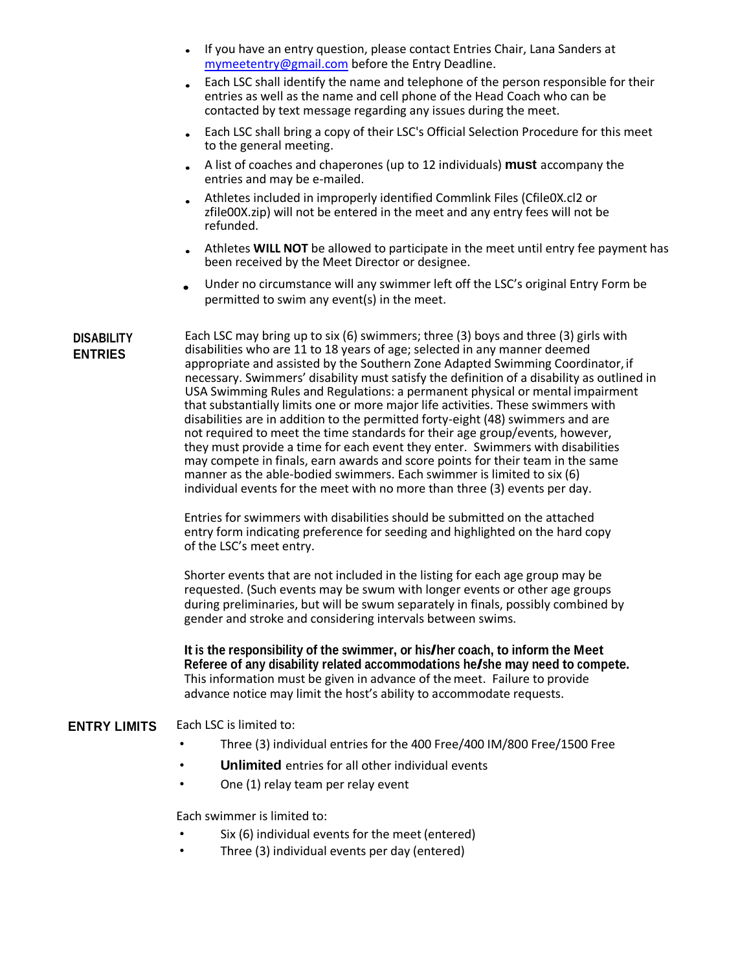- If you have an entry question, please contact Entries Chair, Lana Sanders at [mymeetentry@gmail.com](mailto:mymeetentry@gmail.com) before the Entry Deadline.
- Each LSC shall identify the name and telephone of the person responsible for their entries as well as the name and cell phone of the Head Coach who can be contacted by text message regarding any issues during the meet.
- Each LSC shall bring a copy of their LSC's Official Selection Procedure for this meet to the general meeting.
- A list of coaches and chaperones (up to 12 individuals) **must** accompany the entries and may be e-mailed.
- Athletes included in improperly identified Commlink Files (Cfile0X.cl2 or zfile00X.zip) will not be entered in the meet and any entry fees will not be refunded.
- Athletes **WILL NOT** be allowed to participate in the meet until entry fee payment has been received by the Meet Director or designee.
- Under no circumstance will any swimmer left off the LSC's original Entry Form be permitted to swim any event(s) in the meet.

**DISABILITY ENTRIES** Each LSC may bring up to six (6) swimmers; three (3) boys and three (3) girls with disabilities who are 11 to 18 years of age; selected in any manner deemed appropriate and assisted by the Southern Zone Adapted Swimming Coordinator,if necessary. Swimmers' disability must satisfy the definition of a disability as outlined in USA Swimming Rules and Regulations: a permanent physical or mental impairment that substantially limits one or more major life activities. These swimmers with disabilities are in addition to the permitted forty-eight (48) swimmers and are not required to meet the time standards for their age group/events, however, they must provide a time for each event they enter. Swimmers with disabilities may compete in finals, earn awards and score points for their team in the same manner as the able-bodied swimmers. Each swimmer is limited to six (6) individual events for the meet with no more than three (3) events per day.

> Entries for swimmers with disabilities should be submitted on the attached entry form indicating preference for seeding and highlighted on the hard copy of the LSC's meet entry.

Shorter events that are not included in the listing for each age group may be requested. (Such events may be swum with longer events or other age groups during preliminaries, but will be swum separately in finals, possibly combined by gender and stroke and considering intervals between swims.

**It is the responsibility of the swimmer, or his/her coach, to inform the Meet Referee of any disability related accommodations he/she may need to compete.** This information must be given in advance of the meet. Failure to provide advance notice may limit the host's ability to accommodate requests.

### **ENTRY LIMITS** Each LSC is limited to:

- Three (3) individual entries for the 400 Free/400 IM/800 Free/1500 Free
- **Unlimited** entries for all other individual events
- One (1) relay team per relay event

Each swimmer is limited to:

- Six (6) individual events for the meet (entered)
- Three (3) individual events per day (entered)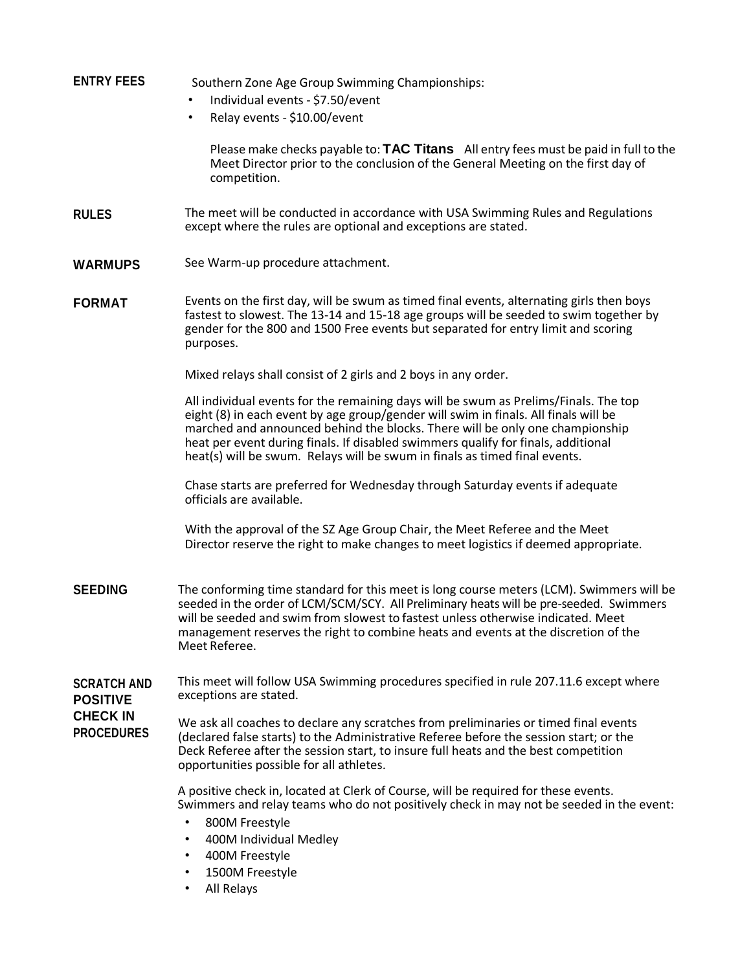### **ENTRY FEES** Southern Zone Age Group Swimming Championships:

- Individual events \$7.50/event
- Relay events \$10.00/event

Please make checks payable to: **TAC Titans** All entry fees must be paid in full to the Meet Director prior to the conclusion of the General Meeting on the first day of competition.

- **RULES** The meet will be conducted in accordance with USA Swimming Rules and Regulations except where the rules are optional and exceptions are stated.
- **WARMUPS** See Warm-up procedure attachment.
- **FORMAT** Events on the first day, will be swum as timed final events, alternating girls then boys fastest to slowest. The 13-14 and 15-18 age groups will be seeded to swim together by gender for the 800 and 1500 Free events but separated for entry limit and scoring purposes.

Mixed relays shall consist of 2 girls and 2 boys in any order.

All individual events for the remaining days will be swum as Prelims/Finals. The top eight (8) in each event by age group/gender will swim in finals. All finals will be marched and announced behind the blocks. There will be only one championship heat per event during finals. If disabled swimmers qualify for finals, additional heat(s) will be swum. Relays will be swum in finals as timed final events.

Chase starts are preferred for Wednesday through Saturday events if adequate officials are available.

With the approval of the SZ Age Group Chair, the Meet Referee and the Meet Director reserve the right to make changes to meet logistics if deemed appropriate.

- **SEEDING** The conforming time standard for this meet is long course meters (LCM). Swimmers will be seeded in the order of LCM/SCM/SCY. All Preliminary heats will be pre-seeded. Swimmers will be seeded and swim from slowest to fastest unless otherwise indicated. Meet management reserves the right to combine heats and events at the discretion of the Meet Referee.
- **SCRATCH AND POSITIVE**  This meet will follow USA Swimming procedures specified in rule 207.11.6 except where exceptions are stated.

**CHECK IN PROCEDURES**

We ask all coaches to declare any scratches from preliminaries or timed final events (declared false starts) to the Administrative Referee before the session start; or the Deck Referee after the session start, to insure full heats and the best competition opportunities possible for all athletes.

A positive check in, located at Clerk of Course, will be required for these events. Swimmers and relay teams who do not positively check in may not be seeded in the event:

- 800M Freestyle
- 400M Individual Medley
- 400M Freestyle
- 1500M Freestyle
- All Relays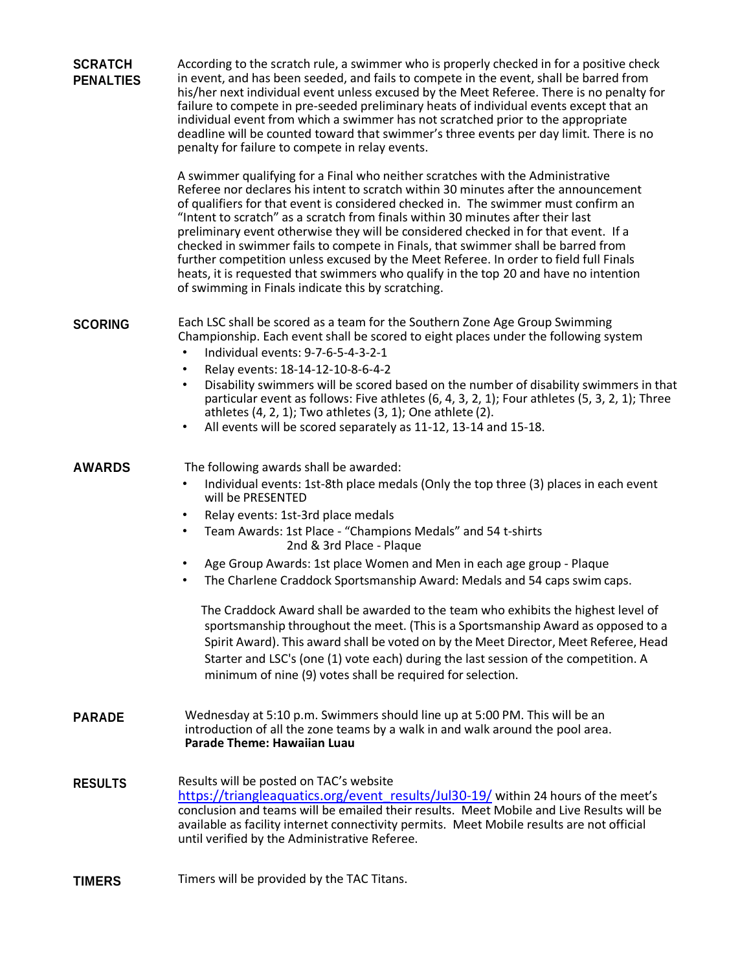| <b>SCRATCH</b><br><b>PENALTIES</b> | According to the scratch rule, a swimmer who is properly checked in for a positive check<br>in event, and has been seeded, and fails to compete in the event, shall be barred from<br>his/her next individual event unless excused by the Meet Referee. There is no penalty for<br>failure to compete in pre-seeded preliminary heats of individual events except that an<br>individual event from which a swimmer has not scratched prior to the appropriate<br>deadline will be counted toward that swimmer's three events per day limit. There is no<br>penalty for failure to compete in relay events.                                                                                                                                                                                                                                                                                       |
|------------------------------------|--------------------------------------------------------------------------------------------------------------------------------------------------------------------------------------------------------------------------------------------------------------------------------------------------------------------------------------------------------------------------------------------------------------------------------------------------------------------------------------------------------------------------------------------------------------------------------------------------------------------------------------------------------------------------------------------------------------------------------------------------------------------------------------------------------------------------------------------------------------------------------------------------|
|                                    | A swimmer qualifying for a Final who neither scratches with the Administrative<br>Referee nor declares his intent to scratch within 30 minutes after the announcement<br>of qualifiers for that event is considered checked in. The swimmer must confirm an<br>"Intent to scratch" as a scratch from finals within 30 minutes after their last<br>preliminary event otherwise they will be considered checked in for that event. If a<br>checked in swimmer fails to compete in Finals, that swimmer shall be barred from<br>further competition unless excused by the Meet Referee. In order to field full Finals<br>heats, it is requested that swimmers who qualify in the top 20 and have no intention<br>of swimming in Finals indicate this by scratching.                                                                                                                                 |
| <b>SCORING</b>                     | Each LSC shall be scored as a team for the Southern Zone Age Group Swimming<br>Championship. Each event shall be scored to eight places under the following system<br>Individual events: 9-7-6-5-4-3-2-1<br>$\bullet$<br>Relay events: 18-14-12-10-8-6-4-2<br>٠<br>Disability swimmers will be scored based on the number of disability swimmers in that<br>$\bullet$<br>particular event as follows: Five athletes (6, 4, 3, 2, 1); Four athletes (5, 3, 2, 1); Three<br>athletes $(4, 2, 1)$ ; Two athletes $(3, 1)$ ; One athlete $(2)$ .<br>All events will be scored separately as 11-12, 13-14 and 15-18.<br>٠                                                                                                                                                                                                                                                                             |
| <b>AWARDS</b>                      | The following awards shall be awarded:<br>Individual events: 1st-8th place medals (Only the top three (3) places in each event<br>٠<br>will be PRESENTED<br>Relay events: 1st-3rd place medals<br>٠<br>Team Awards: 1st Place - "Champions Medals" and 54 t-shirts<br>$\bullet$<br>2nd & 3rd Place - Plaque<br>Age Group Awards: 1st place Women and Men in each age group - Plaque<br>٠<br>The Charlene Craddock Sportsmanship Award: Medals and 54 caps swim caps.<br>٠<br>The Craddock Award shall be awarded to the team who exhibits the highest level of<br>sportsmanship throughout the meet. (This is a Sportsmanship Award as opposed to a<br>Spirit Award). This award shall be voted on by the Meet Director, Meet Referee, Head<br>Starter and LSC's (one (1) vote each) during the last session of the competition. A<br>minimum of nine (9) votes shall be required for selection. |
| <b>PARADE</b>                      | Wednesday at 5:10 p.m. Swimmers should line up at 5:00 PM. This will be an<br>introduction of all the zone teams by a walk in and walk around the pool area.<br><b>Parade Theme: Hawaiian Luau</b>                                                                                                                                                                                                                                                                                                                                                                                                                                                                                                                                                                                                                                                                                               |
| <b>RESULTS</b>                     | Results will be posted on TAC's website<br>https://triangleaquatics.org/event results/Jul30-19/ within 24 hours of the meet's<br>conclusion and teams will be emailed their results. Meet Mobile and Live Results will be<br>available as facility internet connectivity permits. Meet Mobile results are not official<br>until verified by the Administrative Referee.                                                                                                                                                                                                                                                                                                                                                                                                                                                                                                                          |
| <b>TIMERS</b>                      | Timers will be provided by the TAC Titans.                                                                                                                                                                                                                                                                                                                                                                                                                                                                                                                                                                                                                                                                                                                                                                                                                                                       |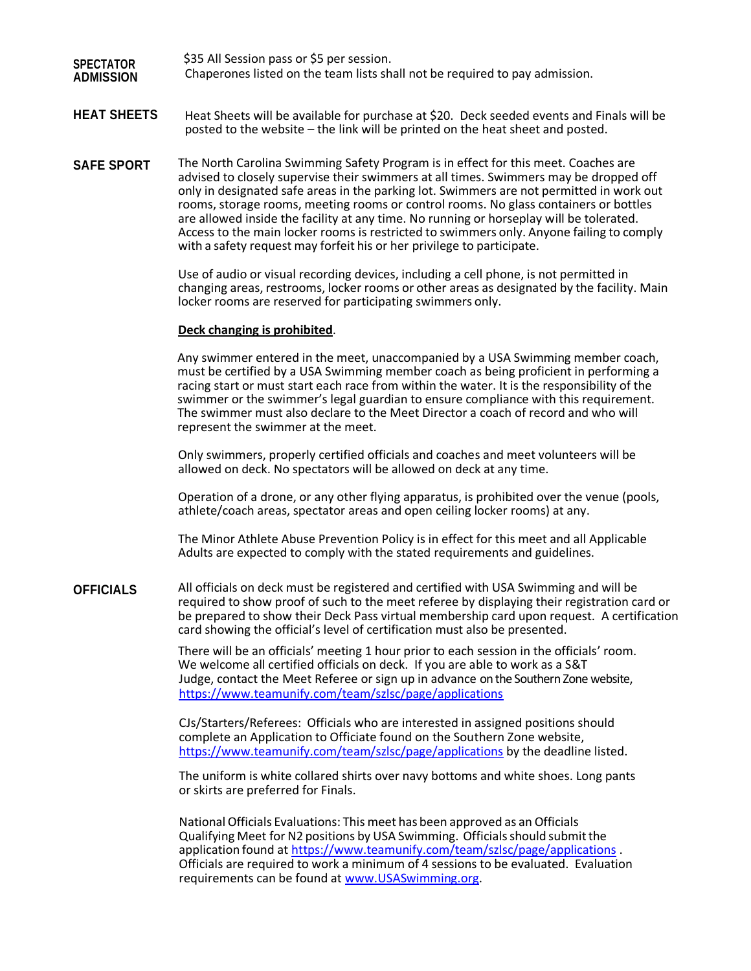#### **SPECTATOR ADMISSION** \$35 All Session pass or \$5 per session. Chaperones listed on the team lists shall not be required to pay admission.

### **HEAT SHEETS** Heat Sheets will be available for purchase at \$20. Deck seeded events and Finals will be posted to the website – the link will be printed on the heat sheet and posted.

**SAFE SPORT** The North Carolina Swimming Safety Program is in effect for this meet. Coaches are advised to closely supervise their swimmers at all times. Swimmers may be dropped off only in designated safe areas in the parking lot. Swimmers are not permitted in work out rooms, storage rooms, meeting rooms or control rooms. No glass containers or bottles are allowed inside the facility at any time. No running or horseplay will be tolerated. Access to the main locker rooms is restricted to swimmers only. Anyone failing to comply with a safety request may forfeit his or her privilege to participate.

> Use of audio or visual recording devices, including a cell phone, is not permitted in changing areas, restrooms, locker rooms or other areas as designated by the facility. Main locker rooms are reserved for participating swimmers only.

#### **Deck changing is prohibited**.

Any swimmer entered in the meet, unaccompanied by a USA Swimming member coach, must be certified by a USA Swimming member coach as being proficient in performing a racing start or must start each race from within the water. It is the responsibility of the swimmer or the swimmer's legal guardian to ensure compliance with this requirement. The swimmer must also declare to the Meet Director a coach of record and who will represent the swimmer at the meet.

Only swimmers, properly certified officials and coaches and meet volunteers will be allowed on deck. No spectators will be allowed on deck at any time.

Operation of a drone, or any other flying apparatus, is prohibited over the venue (pools, athlete/coach areas, spectator areas and open ceiling locker rooms) at any.

The Minor Athlete Abuse Prevention Policy is in effect for this meet and all Applicable Adults are expected to comply with the stated requirements and guidelines.

**OFFICIALS** All officials on deck must be registered and certified with USA Swimming and will be required to show proof of such to the meet referee by displaying their registration card or be prepared to show their Deck Pass virtual membership card upon request. A certification card showing the official's level of certification must also be presented.

> There will be an officials' meeting 1 hour prior to each session in the officials' room. We welcome all certified officials on deck. If you are able to work as a S&T Judge, contact the Meet Referee or sign up in advance on the Southern Zone website, https:/[/www.teamunify.com/team/szlsc/page/applications](http://www.teamunify.com/team/szlsc/page/applications)

CJs/Starters/Referees: Officials who are interested in assigned positions should complete an Application to Officiate found on the Southern Zone website, https:/[/www.teamunify.com/team/szlsc/page/applications](http://www.teamunify.com/team/szlsc/page/applications) by the deadline listed.

The uniform is white collared shirts over navy bottoms and white shoes. Long pants or skirts are preferred for Finals.

NationalOfficials Evaluations: This meet has been approved as an Officials Qualifying Meet for N2 positions by USA Swimming. Officials should submit the application found at https:/[/www.teamunify.com/team/szlsc/page/applications](http://www.teamunify.com/team/szlsc/page/applications) [.](http://www.szoneswim.com/) Officials are required to work a minimum of 4 sessions to be evaluated. Evaluation requirements can be found at [www.USASwimming.org.](http://www.usaswimming.org/)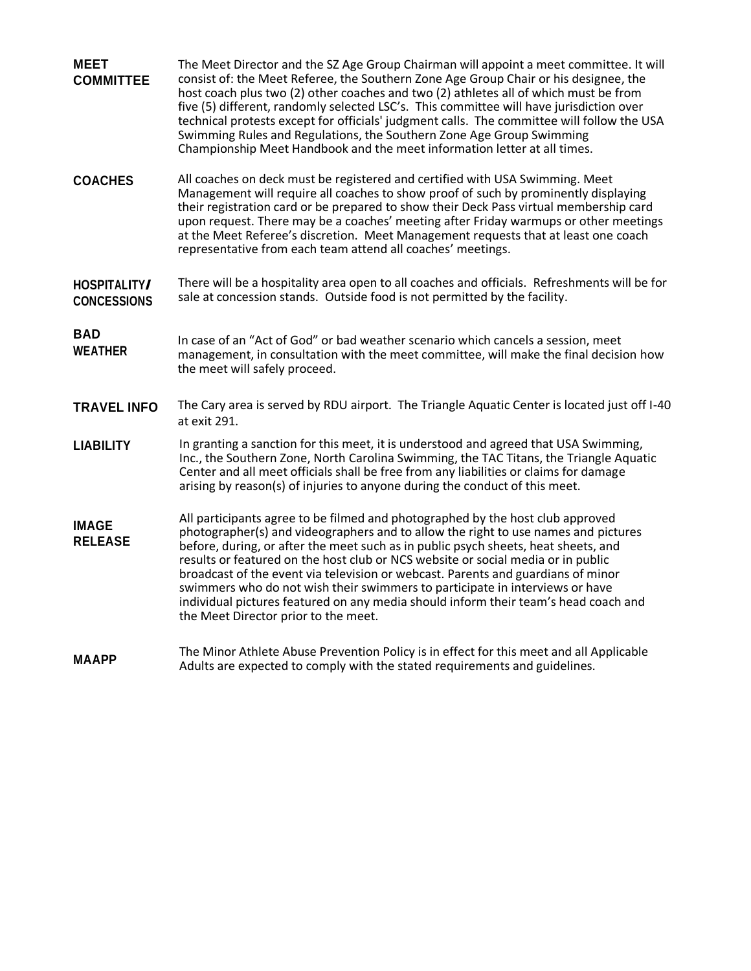| <b>MEET</b><br><b>COMMITTEE</b>    | The Meet Director and the SZ Age Group Chairman will appoint a meet committee. It will<br>consist of: the Meet Referee, the Southern Zone Age Group Chair or his designee, the<br>host coach plus two (2) other coaches and two (2) athletes all of which must be from<br>five (5) different, randomly selected LSC's. This committee will have jurisdiction over<br>technical protests except for officials' judgment calls. The committee will follow the USA<br>Swimming Rules and Regulations, the Southern Zone Age Group Swimming<br>Championship Meet Handbook and the meet information letter at all times. |
|------------------------------------|---------------------------------------------------------------------------------------------------------------------------------------------------------------------------------------------------------------------------------------------------------------------------------------------------------------------------------------------------------------------------------------------------------------------------------------------------------------------------------------------------------------------------------------------------------------------------------------------------------------------|
| <b>COACHES</b>                     | All coaches on deck must be registered and certified with USA Swimming. Meet<br>Management will require all coaches to show proof of such by prominently displaying<br>their registration card or be prepared to show their Deck Pass virtual membership card<br>upon request. There may be a coaches' meeting after Friday warmups or other meetings<br>at the Meet Referee's discretion. Meet Management requests that at least one coach<br>representative from each team attend all coaches' meetings.                                                                                                          |
| HOSPITALITY/<br><b>CONCESSIONS</b> | There will be a hospitality area open to all coaches and officials. Refreshments will be for<br>sale at concession stands. Outside food is not permitted by the facility.                                                                                                                                                                                                                                                                                                                                                                                                                                           |
| <b>BAD</b><br><b>WEATHER</b>       | In case of an "Act of God" or bad weather scenario which cancels a session, meet<br>management, in consultation with the meet committee, will make the final decision how<br>the meet will safely proceed.                                                                                                                                                                                                                                                                                                                                                                                                          |
| <b>TRAVEL INFO</b>                 | The Cary area is served by RDU airport. The Triangle Aquatic Center is located just off I-40<br>at exit 291.                                                                                                                                                                                                                                                                                                                                                                                                                                                                                                        |
| <b>LIABILITY</b>                   | In granting a sanction for this meet, it is understood and agreed that USA Swimming,<br>Inc., the Southern Zone, North Carolina Swimming, the TAC Titans, the Triangle Aquatic<br>Center and all meet officials shall be free from any liabilities or claims for damage<br>arising by reason(s) of injuries to anyone during the conduct of this meet.                                                                                                                                                                                                                                                              |
| <b>IMAGE</b><br><b>RELEASE</b>     | All participants agree to be filmed and photographed by the host club approved<br>photographer(s) and videographers and to allow the right to use names and pictures<br>before, during, or after the meet such as in public psych sheets, heat sheets, and<br>results or featured on the host club or NCS website or social media or in public<br>broadcast of the event via television or webcast. Parents and guardians of minor<br>swimmers who do not wish their swimmers to participate in interviews or have                                                                                                  |
|                                    | individual pictures featured on any media should inform their team's head coach and<br>the Meet Director prior to the meet.                                                                                                                                                                                                                                                                                                                                                                                                                                                                                         |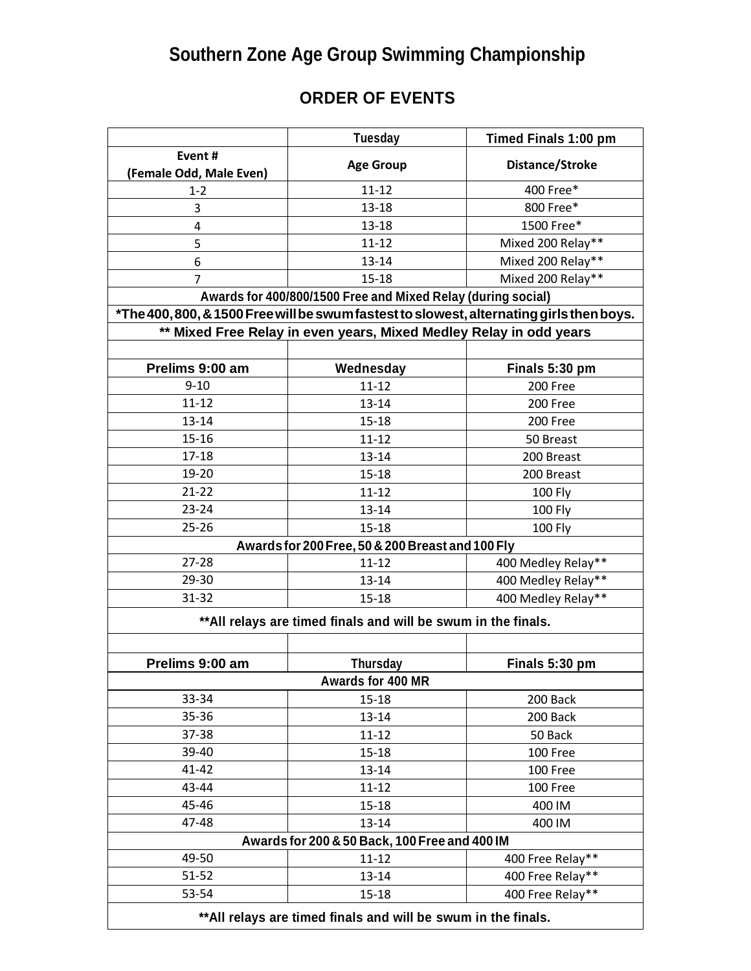# **Southern Zone Age Group Swimming Championship**

## **ORDER OF EVENTS**

|                                                                | <b>Tuesday</b>                                                                          | Timed Finals 1:00 pm |  |  |  |
|----------------------------------------------------------------|-----------------------------------------------------------------------------------------|----------------------|--|--|--|
| Event#                                                         | <b>Age Group</b>                                                                        | Distance/Stroke      |  |  |  |
| (Female Odd, Male Even)                                        |                                                                                         |                      |  |  |  |
| $1 - 2$                                                        | $11 - 12$                                                                               | 400 Free*            |  |  |  |
| 3                                                              | $13 - 18$                                                                               | 800 Free*            |  |  |  |
| 4                                                              | $13 - 18$                                                                               | 1500 Free*           |  |  |  |
| 5                                                              | $11 - 12$                                                                               | Mixed 200 Relay**    |  |  |  |
| 6                                                              | 13-14                                                                                   | Mixed 200 Relay**    |  |  |  |
| $\overline{7}$                                                 | $15 - 18$                                                                               | Mixed 200 Relay**    |  |  |  |
|                                                                | Awards for 400/800/1500 Free and Mixed Relay (during social)                            |                      |  |  |  |
|                                                                | *The 400,800, & 1500 Free will be swum fastest to slowest, alternating girls then boys. |                      |  |  |  |
|                                                                | ** Mixed Free Relay in even years, Mixed Medley Relay in odd years                      |                      |  |  |  |
|                                                                |                                                                                         |                      |  |  |  |
| Prelims 9:00 am                                                | Wednesday                                                                               | Finals 5:30 pm       |  |  |  |
| $9 - 10$                                                       | $11 - 12$                                                                               | 200 Free             |  |  |  |
| $11 - 12$                                                      | $13 - 14$                                                                               | 200 Free             |  |  |  |
| $13 - 14$                                                      | $15 - 18$                                                                               | 200 Free             |  |  |  |
| $15 - 16$                                                      | $11 - 12$                                                                               | 50 Breast            |  |  |  |
| $17 - 18$                                                      | $13 - 14$                                                                               | 200 Breast           |  |  |  |
| 19-20                                                          | $15 - 18$                                                                               | 200 Breast           |  |  |  |
| $21 - 22$                                                      | $11 - 12$                                                                               | 100 Fly              |  |  |  |
| $23 - 24$                                                      | $13 - 14$                                                                               | 100 Fly              |  |  |  |
| $25 - 26$                                                      | $15 - 18$                                                                               | 100 Fly              |  |  |  |
| Awards for 200 Free, 50 & 200 Breast and 100 Fly               |                                                                                         |                      |  |  |  |
| $27 - 28$                                                      | $11 - 12$                                                                               | 400 Medley Relay**   |  |  |  |
| 29-30                                                          | $13 - 14$                                                                               | 400 Medley Relay**   |  |  |  |
| $31 - 32$                                                      | $15 - 18$                                                                               | 400 Medley Relay**   |  |  |  |
| ** All relays are timed finals and will be swum in the finals. |                                                                                         |                      |  |  |  |
|                                                                |                                                                                         |                      |  |  |  |
| Prelims 9:00 am                                                | <b>Thursday</b>                                                                         | Finals 5:30 pm       |  |  |  |
|                                                                | Awards for 400 MR                                                                       |                      |  |  |  |
| 33-34                                                          | $15 - 18$                                                                               | 200 Back             |  |  |  |
| 35-36                                                          | $13 - 14$                                                                               | 200 Back             |  |  |  |
| 37-38                                                          | $11 - 12$                                                                               | 50 Back              |  |  |  |
| 39-40                                                          | $15 - 18$                                                                               | 100 Free             |  |  |  |
| $41 - 42$                                                      | $13 - 14$                                                                               | 100 Free             |  |  |  |
| 43-44                                                          | $11 - 12$                                                                               | 100 Free             |  |  |  |
| 45-46                                                          | $15 - 18$                                                                               | 400 IM               |  |  |  |
| 47-48                                                          | $13 - 14$                                                                               | 400 IM               |  |  |  |
|                                                                | Awards for 200 & 50 Back, 100 Free and 400 IM                                           |                      |  |  |  |
| 49-50                                                          | $11 - 12$                                                                               | 400 Free Relay**     |  |  |  |
| $51 - 52$                                                      | $13 - 14$                                                                               | 400 Free Relay**     |  |  |  |
| 53-54                                                          | $15 - 18$                                                                               | 400 Free Relay**     |  |  |  |
| ** All relays are timed finals and will be swum in the finals. |                                                                                         |                      |  |  |  |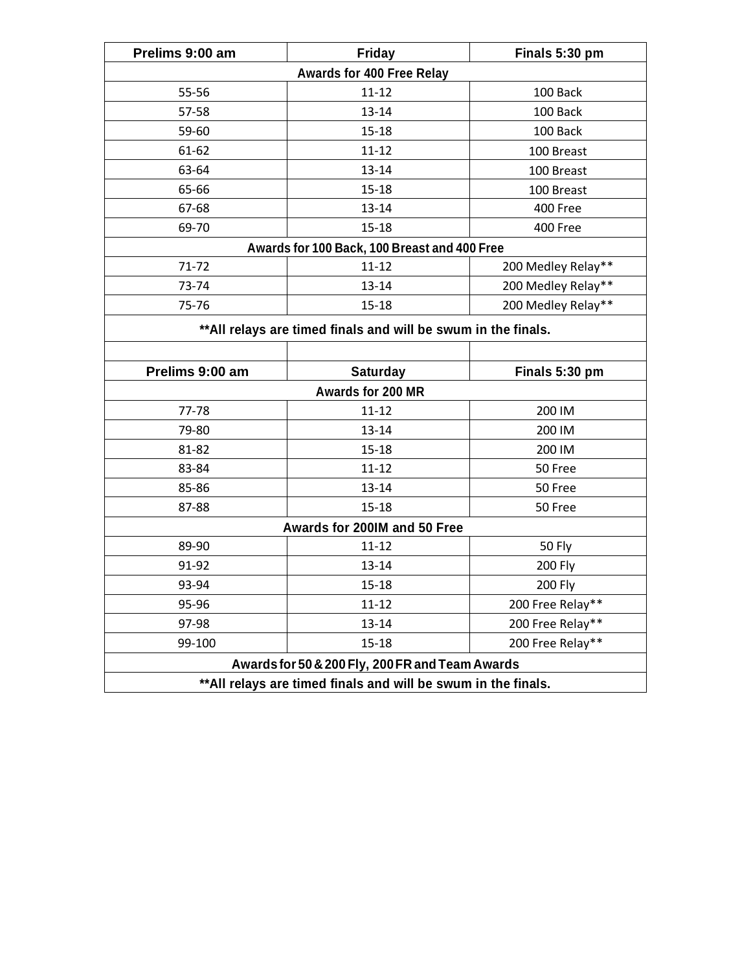| Prelims 9:00 am                                                | <b>Friday</b>                                                  | Finals 5:30 pm     |  |  |
|----------------------------------------------------------------|----------------------------------------------------------------|--------------------|--|--|
| Awards for 400 Free Relay                                      |                                                                |                    |  |  |
| 55-56                                                          | $11 - 12$                                                      | 100 Back           |  |  |
| 57-58                                                          | 13-14                                                          | 100 Back           |  |  |
| 59-60                                                          | $15 - 18$                                                      | 100 Back           |  |  |
| 61-62                                                          | $11 - 12$                                                      | 100 Breast         |  |  |
| 63-64                                                          | 13-14                                                          | 100 Breast         |  |  |
| 65-66                                                          | $15 - 18$                                                      | 100 Breast         |  |  |
| 67-68                                                          | 13-14                                                          | 400 Free           |  |  |
| 69-70                                                          | $15 - 18$                                                      | 400 Free           |  |  |
|                                                                | Awards for 100 Back, 100 Breast and 400 Free                   |                    |  |  |
| $71 - 72$                                                      | $11 - 12$                                                      | 200 Medley Relay** |  |  |
| 73-74                                                          | 13-14                                                          | 200 Medley Relay** |  |  |
| 75-76                                                          | $15 - 18$                                                      | 200 Medley Relay** |  |  |
|                                                                | ** All relays are timed finals and will be swum in the finals. |                    |  |  |
|                                                                |                                                                |                    |  |  |
| Prelims 9:00 am                                                | <b>Saturday</b>                                                | Finals 5:30 pm     |  |  |
| Awards for 200 MR                                              |                                                                |                    |  |  |
| 77-78                                                          | $11 - 12$                                                      | 200 IM             |  |  |
| 79-80                                                          | 13-14                                                          | 200 IM             |  |  |
| 81-82                                                          | $15 - 18$                                                      | 200 IM             |  |  |
| 83-84                                                          | $11 - 12$                                                      | 50 Free            |  |  |
| 85-86                                                          | 13-14                                                          | 50 Free            |  |  |
| 87-88                                                          | $15 - 18$                                                      | 50 Free            |  |  |
| Awards for 200IM and 50 Free                                   |                                                                |                    |  |  |
| 89-90                                                          | $11 - 12$                                                      | 50 Fly             |  |  |
| 91-92                                                          | 13-14                                                          | <b>200 Fly</b>     |  |  |
| 93-94                                                          | 15-18                                                          | 200 Fly            |  |  |
| 95-96                                                          | $11 - 12$                                                      | 200 Free Relay**   |  |  |
| 97-98                                                          | 13-14                                                          | 200 Free Relay**   |  |  |
| 99-100                                                         | $15 - 18$                                                      | 200 Free Relay**   |  |  |
| Awards for 50 & 200 Fly, 200 FR and Team Awards                |                                                                |                    |  |  |
| ** All relays are timed finals and will be swum in the finals. |                                                                |                    |  |  |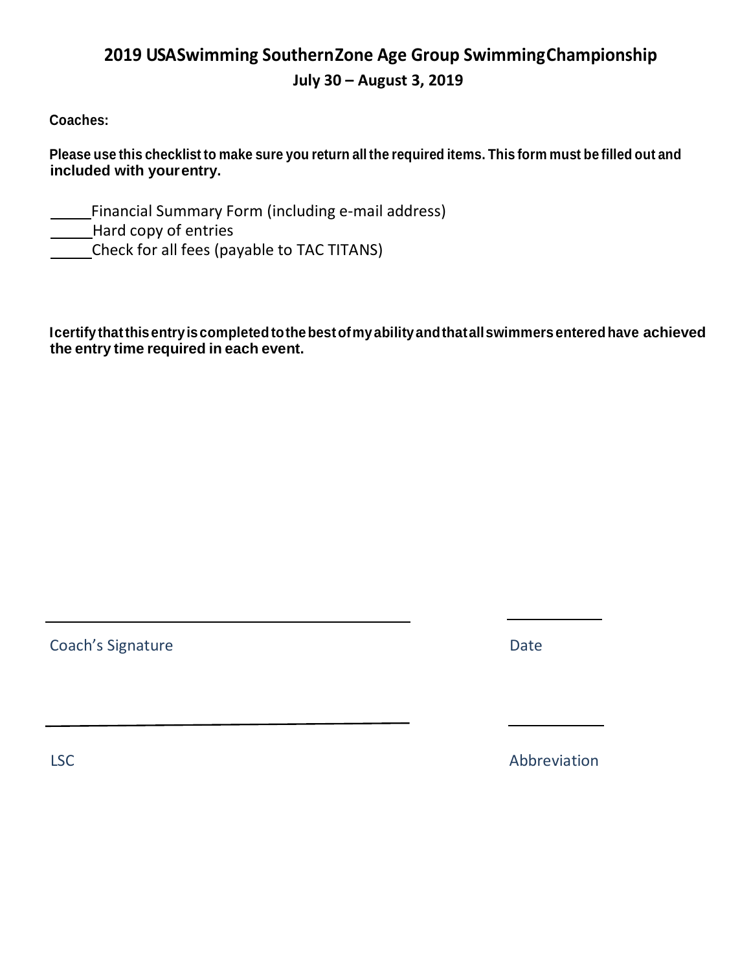### **2019 U S ASwimming SouthernZone Age Group SwimmingChampionship July 30 – August 3, 2019**

### **Coaches:**

Please use this checklist to make sure you return all the required items. This form must be filled out and **included with yourentry.**

Financial Summary Form (including e-mail address)

Hard copy of entries

Check for all fees (payable to TAC TITANS)

**Icertify thatthisentryiscompletedtothebestofmyabilityandthatallswimmersenteredhave achieved the entry time required in each event.**

Coach's Signature Date Date Date

LSC Abbreviation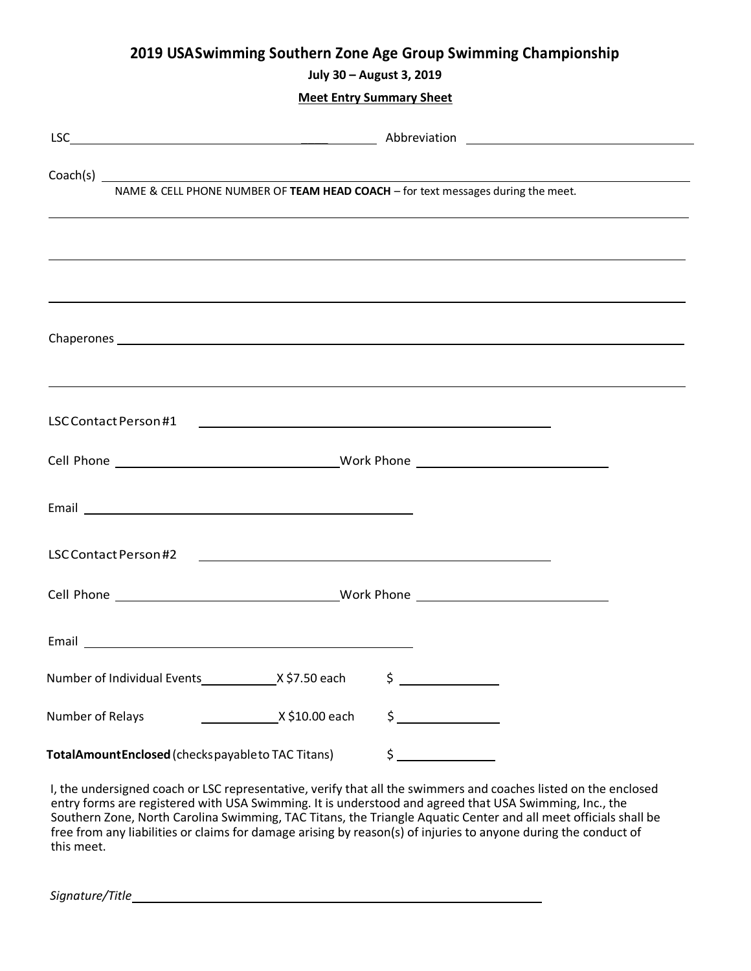### **2019 USASwimming Southern Zone Age Group Swimming Championship**

**July 30 – August 3, 2019**

**Meet Entry Summary Sheet**

|                                                  |                | Chaperones experience and the contract of the contract of the contract of the contract of the contract of the contract of the contract of the contract of the contract of the contract of the contract of the contract of the                                                                                                                                                                                                     |
|--------------------------------------------------|----------------|-----------------------------------------------------------------------------------------------------------------------------------------------------------------------------------------------------------------------------------------------------------------------------------------------------------------------------------------------------------------------------------------------------------------------------------|
|                                                  |                |                                                                                                                                                                                                                                                                                                                                                                                                                                   |
|                                                  |                |                                                                                                                                                                                                                                                                                                                                                                                                                                   |
|                                                  |                |                                                                                                                                                                                                                                                                                                                                                                                                                                   |
|                                                  |                |                                                                                                                                                                                                                                                                                                                                                                                                                                   |
|                                                  |                |                                                                                                                                                                                                                                                                                                                                                                                                                                   |
|                                                  |                |                                                                                                                                                                                                                                                                                                                                                                                                                                   |
| Number of Individual Events X\$7.50 each         |                | \$                                                                                                                                                                                                                                                                                                                                                                                                                                |
| Number of Relays                                 | X \$10.00 each | $\frac{1}{2}$                                                                                                                                                                                                                                                                                                                                                                                                                     |
| TotalAmountEnclosed (checkspayableto TAC Titans) |                | $\begin{array}{c}\n\frac{1}{2} \\ \frac{1}{2} \\ \frac{1}{2} \\ \frac{1}{2} \\ \frac{1}{2} \\ \frac{1}{2} \\ \frac{1}{2} \\ \frac{1}{2} \\ \frac{1}{2} \\ \frac{1}{2} \\ \frac{1}{2} \\ \frac{1}{2} \\ \frac{1}{2} \\ \frac{1}{2} \\ \frac{1}{2} \\ \frac{1}{2} \\ \frac{1}{2} \\ \frac{1}{2} \\ \frac{1}{2} \\ \frac{1}{2} \\ \frac{1}{2} \\ \frac{1}{2} \\ \frac{1}{2} \\ \frac{1}{2} \\ \frac{1}{2} \\ \frac{1}{2} \\ \frac{1$ |

I, the undersigned coach or LSC representative, verify that all the swimmers and coaches listed on the enclosed entry forms are registered with USA Swimming. It is understood and agreed that USA Swimming, Inc., the Southern Zone, North Carolina Swimming, TAC Titans, the Triangle Aquatic Center and all meet officials shall be free from any liabilities or claims for damage arising by reason(s) of injuries to anyone during the conduct of this meet.

*Signature/Title*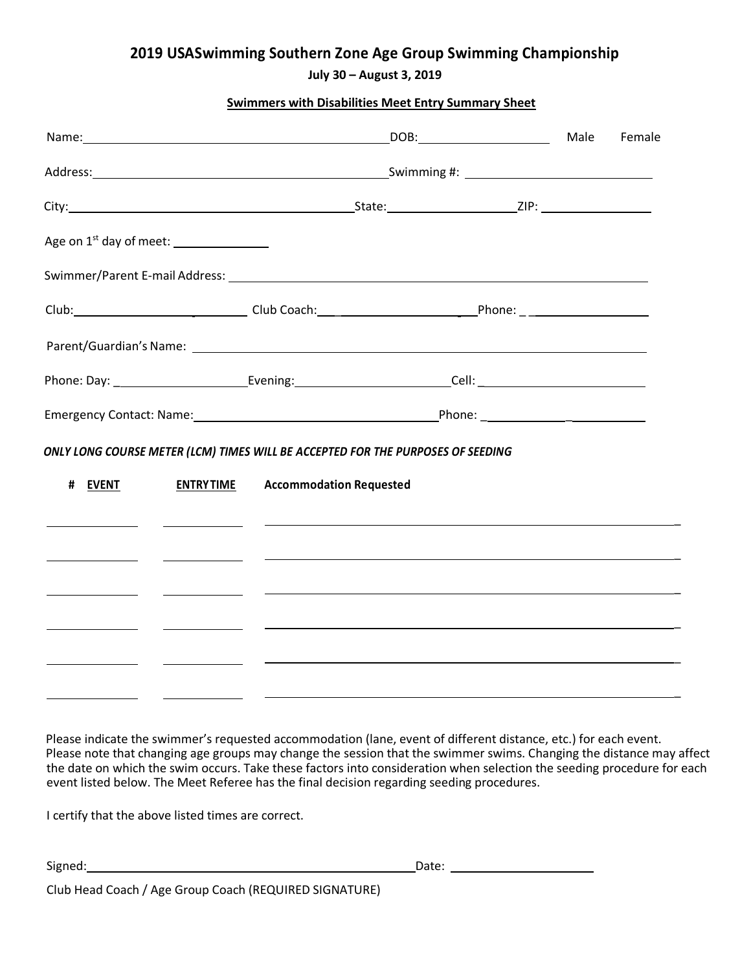### **2019 U S ASwimming Southern Zone Age Group Swimming Championship**

**July 30 – August 3, 2019**

### **Swimmers with Disabilities Meet Entry Summary Sheet**

|         |                                                                                                                                                                                                                                      |                                |                                                                                                                                                                                                                | Female |  |
|---------|--------------------------------------------------------------------------------------------------------------------------------------------------------------------------------------------------------------------------------------|--------------------------------|----------------------------------------------------------------------------------------------------------------------------------------------------------------------------------------------------------------|--------|--|
|         |                                                                                                                                                                                                                                      |                                |                                                                                                                                                                                                                |        |  |
|         |                                                                                                                                                                                                                                      |                                |                                                                                                                                                                                                                |        |  |
|         | Age on $1^{st}$ day of meet: $\_\_\_\_\_\_\_\_\_\_\_\_\_\_\_\_\_$                                                                                                                                                                    |                                |                                                                                                                                                                                                                |        |  |
|         |                                                                                                                                                                                                                                      |                                |                                                                                                                                                                                                                |        |  |
|         |                                                                                                                                                                                                                                      |                                | Club: 2000 Club: 2000 Club Coach: 2000 Club Coach: 2000 Phone: 2000 Phone: 2000 Phone: 2000 Phone: 2000 Phone:                                                                                                 |        |  |
|         |                                                                                                                                                                                                                                      |                                |                                                                                                                                                                                                                |        |  |
|         |                                                                                                                                                                                                                                      |                                | Phone: Day: ______________________________Evening:_____________________________Cell: _________________________                                                                                                 |        |  |
|         |                                                                                                                                                                                                                                      |                                |                                                                                                                                                                                                                |        |  |
|         |                                                                                                                                                                                                                                      |                                |                                                                                                                                                                                                                |        |  |
| # EVENT | <b>ENTRYTIME</b>                                                                                                                                                                                                                     | <b>Accommodation Requested</b> | ONLY LONG COURSE METER (LCM) TIMES WILL BE ACCEPTED FOR THE PURPOSES OF SEEDING<br><u> 1999 - Jan Alexandro Alexandro Alexandro Alexandro Alexandro Alexandro Alexandro Alexandro Alexandro Alexandro Alex</u> |        |  |
|         |                                                                                                                                                                                                                                      |                                | <u> 1999 - Jan Alexandro Alexandro Alexandro Alexandro Alexandro Alexandro Alexandro Alexandro Alexandro Alexandro Alex</u>                                                                                    |        |  |
|         |                                                                                                                                                                                                                                      |                                |                                                                                                                                                                                                                |        |  |
|         | <u> Albany a Communication and the Communication of the Communication of the Communication of the Communication of the Communication of the Communication of the Communication of the Communication of the Communication of the </u> |                                |                                                                                                                                                                                                                |        |  |

Please indicate the swimmer's requested accommodation (lane, event of different distance, etc.) for each event. Please note that changing age groups may change the session that the swimmer swims. Changing the distance may affect the date on which the swim occurs. Take these factors into consideration when selection the seeding procedure for each event listed below. The Meet Referee has the final decision regarding seeding procedures.

I certify that the above listed times are correct.

Signed: <u>Date:</u> Date: <u>Date: Date: Date: Date: Date: Date: Date: Date: Date: Date: Date: Date: Date: Date: Date: Date: Date: Date: Date: Date: Date: Date: Date: Date: Date: Date: Date: Date: Date: Date: Date: Date: Date: D</u>

\_

\_

\_

\_

\_

\_

Club Head Coach / Age Group Coach (REQUIRED SIGNATURE)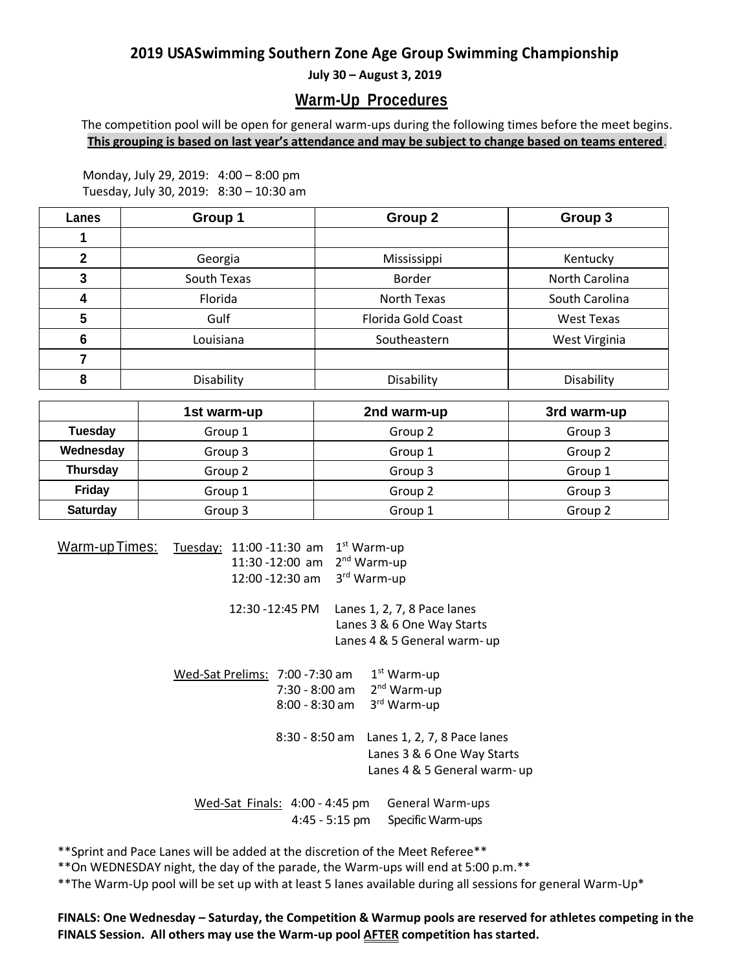### **2019 U S ASwimming Southern Zone Age Group Swimming Championship**

**July 30 – August 3, 2019**

### **Warm-Up Procedures**

The competition pool will be open for general warm-ups during the following times before the meet begins. **This grouping is based on last year's attendance and may be subject to change based on teams entered**.

Monday, July 29, 2019: 4:00 – 8:00 pm Tuesday, July 30, 2019: 8:30 – 10:30 am

| Lanes        | Group 1     | Group 2                   | Group 3        |
|--------------|-------------|---------------------------|----------------|
|              |             |                           |                |
| $\mathbf{2}$ | Georgia     | Mississippi               | Kentucky       |
|              | South Texas | <b>Border</b>             | North Carolina |
| 4            | Florida     | North Texas               | South Carolina |
| 5            | Gulf        | <b>Florida Gold Coast</b> | West Texas     |
|              | Louisiana   | Southeastern              | West Virginia  |
|              |             |                           |                |
| о            | Disability  | Disability                | Disability     |

|           | 1st warm-up | 2nd warm-up | 3rd warm-up |
|-----------|-------------|-------------|-------------|
| Tuesday   | Group 1     | Group 2     | Group 3     |
| Wednesday | Group 3     | Group 1     | Group 2     |
| Thursday  | Group 2     | Group 3     | Group 1     |
| Friday    | Group 1     | Group 2     | Group 3     |
| Saturday  | Group 3     | Group 1     | Group 2     |

Warm-upTimes: Tuesday: 11:00 -11:30 am 1<sup>st</sup> Warm-up 11:30 -12:00 am 2<sup>nd</sup> Warm-up 12:00 -12:30 am 3 rd Warm-up 12:30 -12:45 PM Lanes 1, 2, 7, 8 Pace lanes Lanes 3 & 6 One Way Starts Lanes 4 & 5 General warm- up Wed-Sat Prelims: 7:00 -7:30 am 1st Warm-up 7:30 - 8:00 am 2<sup>nd</sup> Warm-up 8:00 - 8:30 am 3 rd Warm-up 8:30 - 8:50 am Lanes 1, 2, 7, 8 Pace lanes Lanes 3 & 6 One Way Starts Lanes 4 & 5 General warm- up Wed-Sat Finals: 4:00 - 4:45 pm General Warm-ups 4:45 - 5:15 pm Specific Warm-ups

\*\*Sprint and Pace Lanes will be added at the discretion of the Meet Referee\*\*

\*\*On WEDNESDAY night, the day of the parade, the Warm-ups will end at 5:00 p.m.\*\*

\*\*The Warm-Up pool will be set up with at least 5 lanes available during all sessions for general Warm-Up\*

**FINALS: One Wednesday – Saturday, the Competition & Warmup pools are reserved for athletes competing in the FINALS Session. All others may use the Warm-up pool AFTER competition has started.**